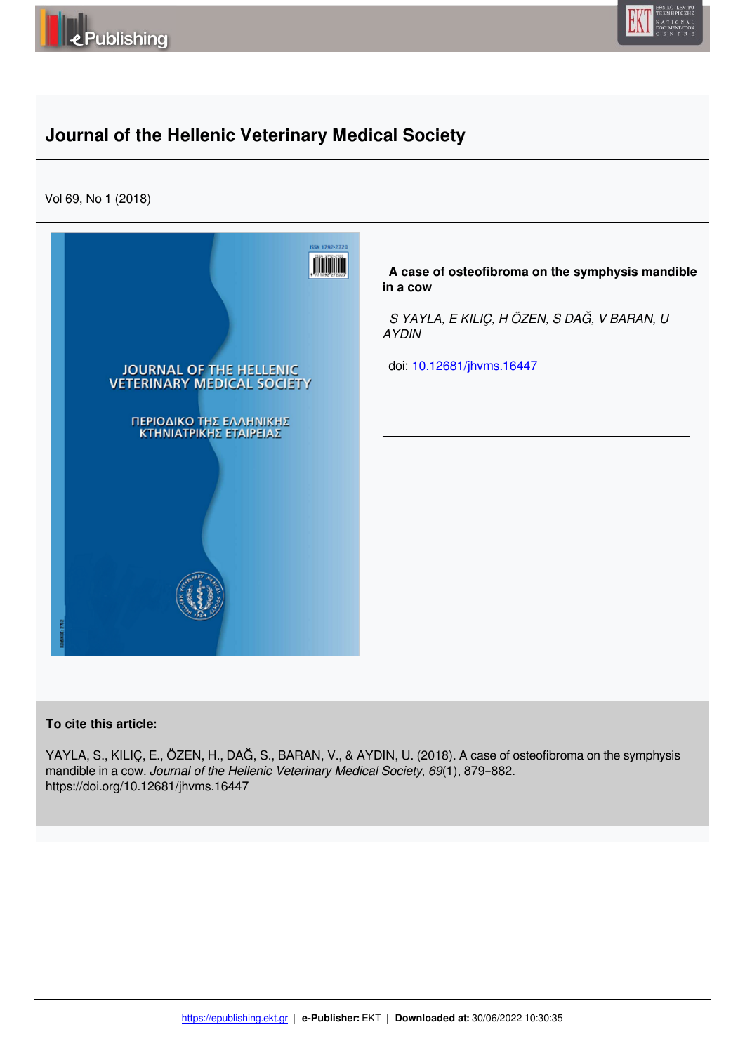



# **Journal of the Hellenic Veterinary Medical Society**

Vol 69, No 1 (2018)



#### **To cite this article:**

YAYLA, S., KILIÇ, E., ÖZEN, H., DAĞ, S., BARAN, V., & AYDIN, U. (2018). A case of osteofibroma on the symphysis mandible in a cow. *Journal of the Hellenic Veterinary Medical Society*, *69*(1), 879–882. https://doi.org/10.12681/jhvms.16447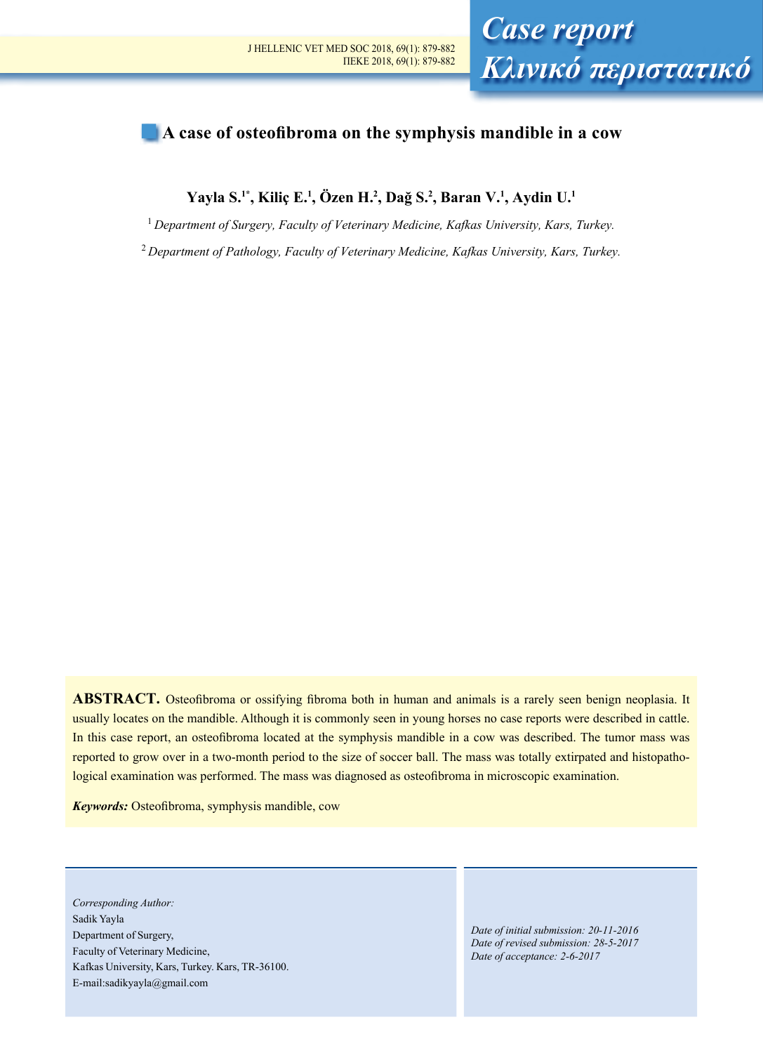

## **A case of osteofibroma on the symphysis mandible in a cow**

**Yayla S.1\*, Kiliç E.<sup>1</sup> , Özen H.<sup>2</sup> , Dağ S.<sup>2</sup> , Baran V.<sup>1</sup> , Aydin U.<sup>1</sup>**

<sup>1</sup>*Department of Surgery, Faculty of Veterinary Medicine, Kafkas University, Kars, Turkey.*

<sup>2</sup>*Department of Pathology, Faculty of Veterinary Medicine, Kafkas University, Kars, Turkey.*

**ABSTRACT.** Osteofibroma or ossifying fibroma both in human and animals is a rarely seen benign neoplasia. It usually locates on the mandible. Although it is commonly seen in young horses no case reports were described in cattle. In this case report, an osteofibroma located at the symphysis mandible in a cow was described. The tumor mass was reported to grow over in a two-month period to the size of soccer ball. The mass was totally extirpated and histopathological examination was performed. The mass was diagnosed as osteofibroma in microscopic examination.

*Keywords:* Osteofibroma, symphysis mandible, cow

*Corresponding Author:*  Sadik Yayla Department of Surgery, Faculty of Veterinary Medicine, Kafkas University, Kars, Turkey. Kars, TR-36100. E-mail:sadikyayla@gmail.com

*Date of initial submission: 20-11-2016 Date of revised submission: 28-5-2017 Date of acceptance: 2-6-2017*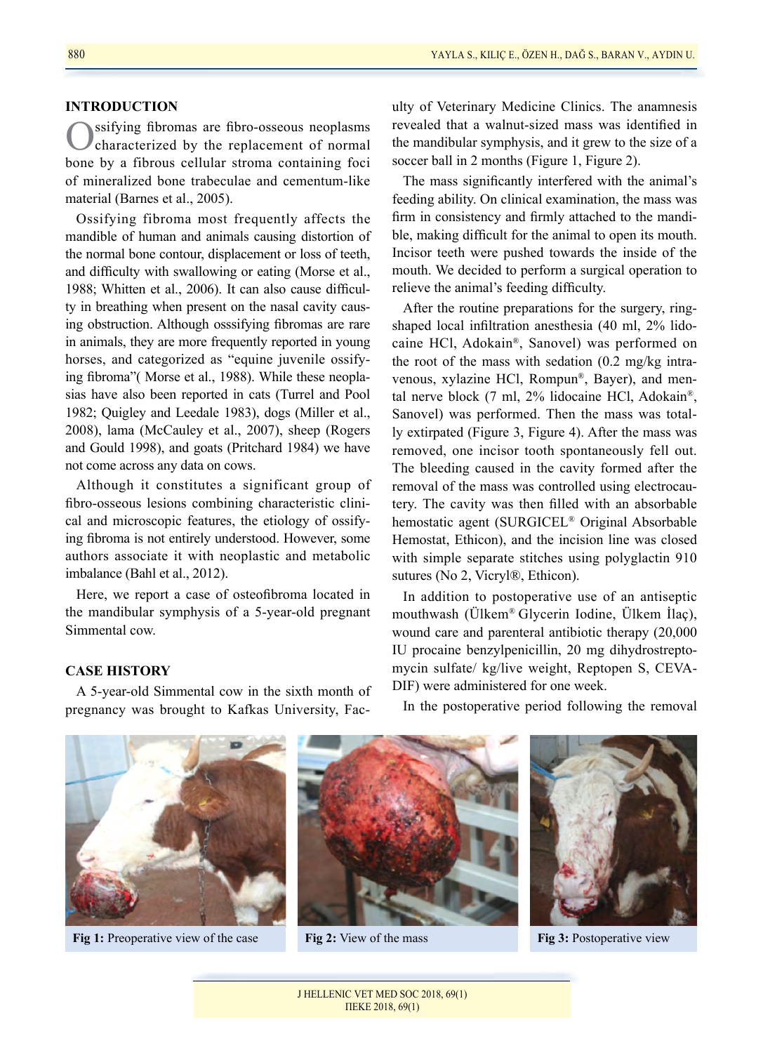#### **INTRODUCTION**

Ossifying fibromas are fibro-osseous neoplasms<br>
characterized by the replacement of normal bone by a fibrous cellular stroma containing foci of mineralized bone trabeculae and cementum-like material (Barnes et al., 2005).

Ossifying fibroma most frequently affects the mandible of human and animals causing distortion of the normal bone contour, displacement or loss of teeth, and difficulty with swallowing or eating (Morse et al., 1988; Whitten et al., 2006). It can also cause difficulty in breathing when present on the nasal cavity causing obstruction. Although osssifying fibromas are rare in animals, they are more frequently reported in young horses, and categorized as "equine juvenile ossifying fibroma"( Morse et al., 1988). While these neoplasias have also been reported in cats (Turrel and Pool 1982; Quigley and Leedale 1983), dogs (Miller et al., 2008), lama (McCauley et al., 2007), sheep (Rogers and Gould 1998), and goats (Pritchard 1984) we have not come across any data on cows.

Although it constitutes a significant group of fibro-osseous lesions combining characteristic clinical and microscopic features, the etiology of ossifying fibroma is not entirely understood. However, some authors associate it with neoplastic and metabolic imbalance (Bahl et al., 2012).

Here, we report a case of osteofibroma located in the mandibular symphysis of a 5-year-old pregnant Simmental cow.

### **CASE HISTORY**

A 5-year-old Simmental cow in the sixth month of pregnancy was brought to Kafkas University, Faculty of Veterinary Medicine Clinics. The anamnesis revealed that a walnut-sized mass was identified in the mandibular symphysis, and it grew to the size of a soccer ball in 2 months (Figure 1, Figure 2).

The mass significantly interfered with the animal's feeding ability. On clinical examination, the mass was firm in consistency and firmly attached to the mandible, making difficult for the animal to open its mouth. Incisor teeth were pushed towards the inside of the mouth. We decided to perform a surgical operation to relieve the animal's feeding difficulty.

After the routine preparations for the surgery, ringshaped local infiltration anesthesia (40 ml, 2% lidocaine HCl, Adokain®, Sanovel) was performed on the root of the mass with sedation (0.2 mg/kg intravenous, xylazine HCl, Rompun®, Bayer), and mental nerve block (7 ml, 2% lidocaine HCl, Adokain®, Sanovel) was performed. Then the mass was totally extirpated (Figure 3, Figure 4). After the mass was removed, one incisor tooth spontaneously fell out. The bleeding caused in the cavity formed after the removal of the mass was controlled using electrocautery. The cavity was then filled with an absorbable hemostatic agent (SURGICEL® Original Absorbable Hemostat, Ethicon), and the incision line was closed with simple separate stitches using polyglactin 910 sutures (No 2, Vicryl®, Ethicon).

In addition to postoperative use of an antiseptic mouthwash (Ülkem® Glycerin Iodine, Ülkem İlaç), wound care and parenteral antibiotic therapy (20,000 IU procaine benzylpenicillin, 20 mg dihydrostreptomycin sulfate/ kg/live weight, Reptopen S, CEVA-DIF) were administered for one week.





**Fig 1:** Preoperative view of the case **Fig 2:** View of the mass **Fig 3:** Postoperative view

J HELLENIC VET MED SOC 2018, 69(1) ΠΕΚΕ 2018, 69(1)

In the postoperative period following the removal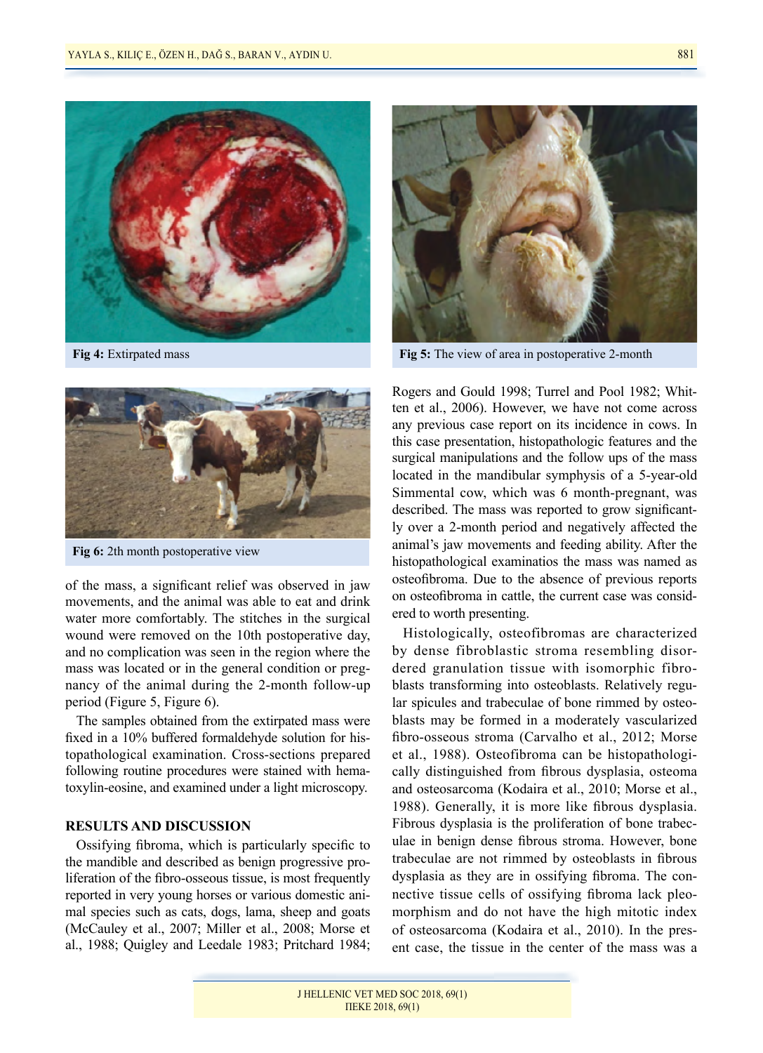



**Fig 6:** 2th month postoperative view

of the mass, a significant relief was observed in jaw movements, and the animal was able to eat and drink water more comfortably. The stitches in the surgical wound were removed on the 10th postoperative day, and no complication was seen in the region where the mass was located or in the general condition or pregnancy of the animal during the 2-month follow-up period (Figure 5, Figure 6).

The samples obtained from the extirpated mass were fixed in a 10% buffered formaldehyde solution for histopathological examination. Cross-sections prepared following routine procedures were stained with hematoxylin-eosine, and examined under a light microscopy.

#### **RESULTS AND DISCUSSION**

Ossifying fibroma, which is particularly specific to the mandible and described as benign progressive proliferation of the fibro-osseous tissue, is most frequently reported in very young horses or various domestic animal species such as cats, dogs, lama, sheep and goats (McCauley et al., 2007; Miller et al., 2008; Morse et al., 1988; Quigley and Leedale 1983; Pritchard 1984;



**Fig 4:** Extirpated mass **Fig 5:** The view of area in postoperative 2-month

Rogers and Gould 1998; Turrel and Pool 1982; Whitten et al., 2006). However, we have not come across any previous case report on its incidence in cows. In this case presentation, histopathologic features and the surgical manipulations and the follow ups of the mass located in the mandibular symphysis of a 5-year-old Simmental cow, which was 6 month-pregnant, was described. The mass was reported to grow significantly over a 2-month period and negatively affected the animal's jaw movements and feeding ability. After the histopathological examinatios the mass was named as osteofibroma. Due to the absence of previous reports on osteofibroma in cattle, the current case was considered to worth presenting.

Histologically, osteofibromas are characterized by dense fibroblastic stroma resembling disordered granulation tissue with isomorphic fibroblasts transforming into osteoblasts. Relatively regular spicules and trabeculae of bone rimmed by osteoblasts may be formed in a moderately vascularized fibro-osseous stroma (Carvalho et al., 2012; Morse et al., 1988). Osteofibroma can be histopathologically distinguished from fibrous dysplasia, osteoma and osteosarcoma (Kodaira et al., 2010; Morse et al., 1988). Generally, it is more like fibrous dysplasia. Fibrous dysplasia is the proliferation of bone trabeculae in benign dense fibrous stroma. However, bone trabeculae are not rimmed by osteoblasts in fibrous dysplasia as they are in ossifying fibroma. The connective tissue cells of ossifying fibroma lack pleomorphism and do not have the high mitotic index of osteosarcoma (Kodaira et al., 2010). In the present case, the tissue in the center of the mass was a